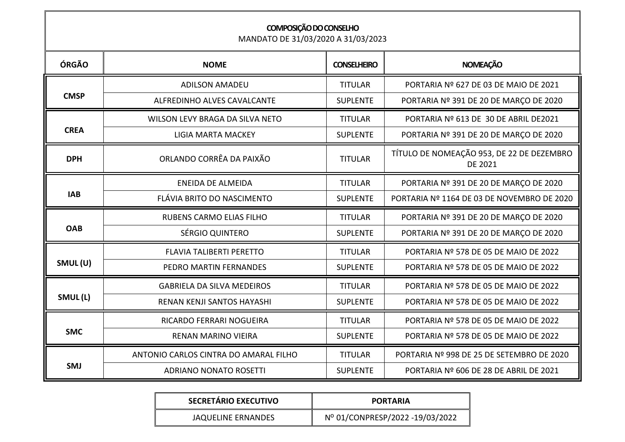| COMPOSIÇÃO DO CONSELHO<br>MANDATO DE 31/03/2020 A 31/03/2023 |                                       |                    |                                                             |  |
|--------------------------------------------------------------|---------------------------------------|--------------------|-------------------------------------------------------------|--|
| ÓRGÃO                                                        | <b>NOME</b>                           | <b>CONSELHEIRO</b> | <b>NOMEAÇÃO</b>                                             |  |
| <b>CMSP</b>                                                  | <b>ADILSON AMADEU</b>                 | <b>TITULAR</b>     | PORTARIA Nº 627 DE 03 DE MAIO DE 2021                       |  |
|                                                              | ALFREDINHO ALVES CAVALCANTE           | <b>SUPLENTE</b>    | PORTARIA Nº 391 DE 20 DE MARÇO DE 2020                      |  |
| <b>CREA</b>                                                  | WILSON LEVY BRAGA DA SILVA NETO       | <b>TITULAR</b>     | PORTARIA Nº 613 DE 30 DE ABRIL DE2021                       |  |
|                                                              | <b>LIGIA MARTA MACKEY</b>             | <b>SUPLENTE</b>    | PORTARIA Nº 391 DE 20 DE MARÇO DE 2020                      |  |
| <b>DPH</b>                                                   | ORLANDO CORRÊA DA PAIXÃO              | <b>TITULAR</b>     | TÍTULO DE NOMEAÇÃO 953, DE 22 DE DEZEMBRO<br><b>DE 2021</b> |  |
| <b>IAB</b>                                                   | <b>ENEIDA DE ALMEIDA</b>              | <b>TITULAR</b>     | PORTARIA Nº 391 DE 20 DE MARÇO DE 2020                      |  |
|                                                              | FLÁVIA BRITO DO NASCIMENTO            | <b>SUPLENTE</b>    | PORTARIA Nº 1164 DE 03 DE NOVEMBRO DE 2020                  |  |
| <b>OAB</b>                                                   | <b>RUBENS CARMO ELIAS FILHO</b>       | <b>TITULAR</b>     | PORTARIA Nº 391 DE 20 DE MARÇO DE 2020                      |  |
|                                                              | SÉRGIO QUINTERO                       | <b>SUPLENTE</b>    | PORTARIA Nº 391 DE 20 DE MARÇO DE 2020                      |  |
| SMUL(U)                                                      | <b>FLAVIA TALIBERTI PERETTO</b>       | <b>TITULAR</b>     | PORTARIA Nº 578 DE 05 DE MAIO DE 2022                       |  |
|                                                              | PEDRO MARTIN FERNANDES                | <b>SUPLENTE</b>    | PORTARIA Nº 578 DE 05 DE MAIO DE 2022                       |  |
| SMUL(L)                                                      | <b>GABRIELA DA SILVA MEDEIROS</b>     | <b>TITULAR</b>     | PORTARIA Nº 578 DE 05 DE MAIO DE 2022                       |  |
|                                                              | RENAN KENJI SANTOS HAYASHI            | <b>SUPLENTE</b>    | PORTARIA Nº 578 DE 05 DE MAIO DE 2022                       |  |
| <b>SMC</b>                                                   | RICARDO FERRARI NOGUEIRA              | <b>TITULAR</b>     | PORTARIA Nº 578 DE 05 DE MAIO DE 2022                       |  |
|                                                              | <b>RENAN MARINO VIEIRA</b>            | <b>SUPLENTE</b>    | PORTARIA Nº 578 DE 05 DE MAIO DE 2022                       |  |
| <b>SMJ</b>                                                   | ANTONIO CARLOS CINTRA DO AMARAL FILHO | <b>TITULAR</b>     | PORTARIA Nº 998 DE 25 DE SETEMBRO DE 2020                   |  |
|                                                              | <b>ADRIANO NONATO ROSETTI</b>         | <b>SUPLENTE</b>    | PORTARIA Nº 606 DE 28 DE ABRIL DE 2021                      |  |

| <b>SECRETÁRIO EXECUTIVO</b> | <b>PORTARIA</b>                 |
|-----------------------------|---------------------------------|
| JAQUELINE ERNANDES          | Nº 01/CONPRESP/2022 -19/03/2022 |